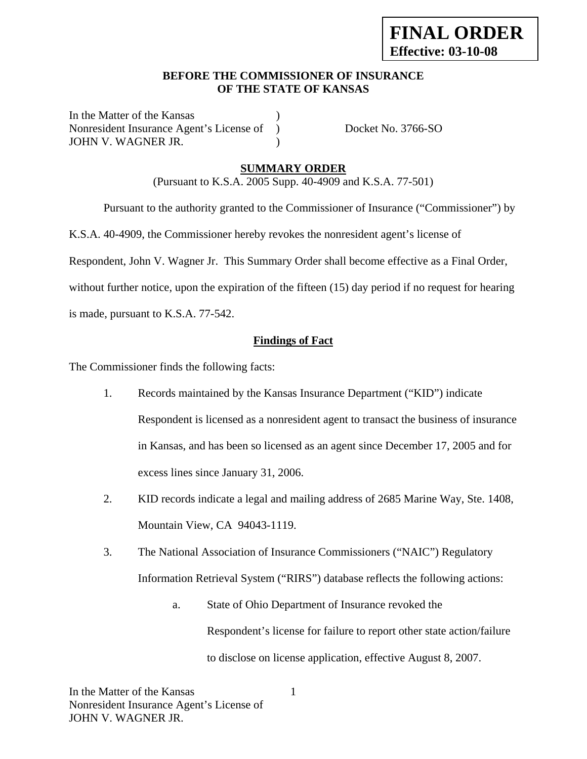### **BEFORE THE COMMISSIONER OF INSURANCE OF THE STATE OF KANSAS**

In the Matter of the Kansas Nonresident Insurance Agent's License of ) Docket No. 3766-SO JOHN V. WAGNER JR. (1998)

### **SUMMARY ORDER**

(Pursuant to K.S.A. 2005 Supp. 40-4909 and K.S.A. 77-501)

Pursuant to the authority granted to the Commissioner of Insurance ("Commissioner") by

K.S.A. 40-4909, the Commissioner hereby revokes the nonresident agent's license of

Respondent, John V. Wagner Jr. This Summary Order shall become effective as a Final Order,

without further notice, upon the expiration of the fifteen (15) day period if no request for hearing

is made, pursuant to K.S.A. 77-542.

### **Findings of Fact**

The Commissioner finds the following facts:

- 1. Records maintained by the Kansas Insurance Department ("KID") indicate Respondent is licensed as a nonresident agent to transact the business of insurance in Kansas, and has been so licensed as an agent since December 17, 2005 and for excess lines since January 31, 2006.
- 2. KID records indicate a legal and mailing address of 2685 Marine Way, Ste. 1408, Mountain View, CA 94043-1119.
- 3. The National Association of Insurance Commissioners ("NAIC") Regulatory Information Retrieval System ("RIRS") database reflects the following actions:
	- a. State of Ohio Department of Insurance revoked the Respondent's license for failure to report other state action/failure to disclose on license application, effective August 8, 2007.

1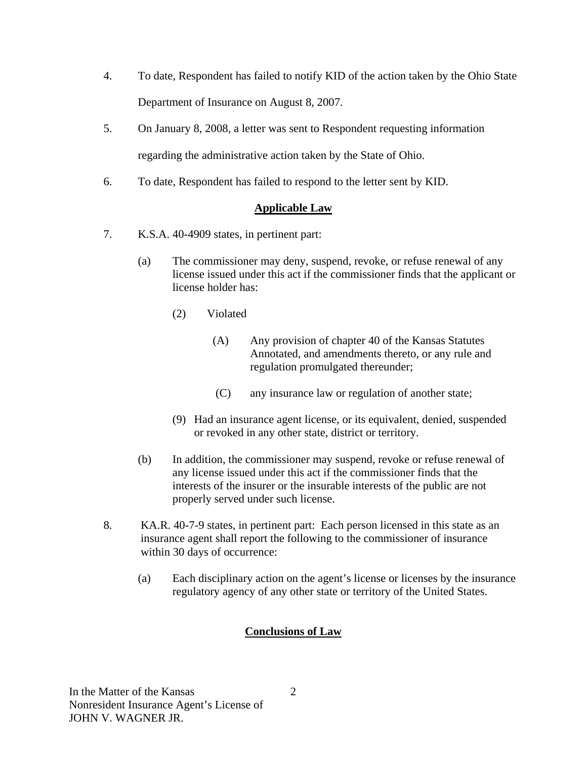- 4. To date, Respondent has failed to notify KID of the action taken by the Ohio State Department of Insurance on August 8, 2007.
- 5. On January 8, 2008, a letter was sent to Respondent requesting information regarding the administrative action taken by the State of Ohio.
- 6. To date, Respondent has failed to respond to the letter sent by KID.

# **Applicable Law**

- 7. K.S.A. 40-4909 states, in pertinent part:
	- (a) The commissioner may deny, suspend, revoke, or refuse renewal of any license issued under this act if the commissioner finds that the applicant or license holder has:
		- (2) Violated
			- (A) Any provision of chapter 40 of the Kansas Statutes Annotated, and amendments thereto, or any rule and regulation promulgated thereunder;
			- (C) any insurance law or regulation of another state;
		- (9) Had an insurance agent license, or its equivalent, denied, suspended or revoked in any other state, district or territory.
	- (b) In addition, the commissioner may suspend, revoke or refuse renewal of any license issued under this act if the commissioner finds that the interests of the insurer or the insurable interests of the public are not properly served under such license.
- 8. KA.R. 40-7-9 states, in pertinent part: Each person licensed in this state as an insurance agent shall report the following to the commissioner of insurance within 30 days of occurrence:
	- (a) Each disciplinary action on the agent's license or licenses by the insurance regulatory agency of any other state or territory of the United States.

# **Conclusions of Law**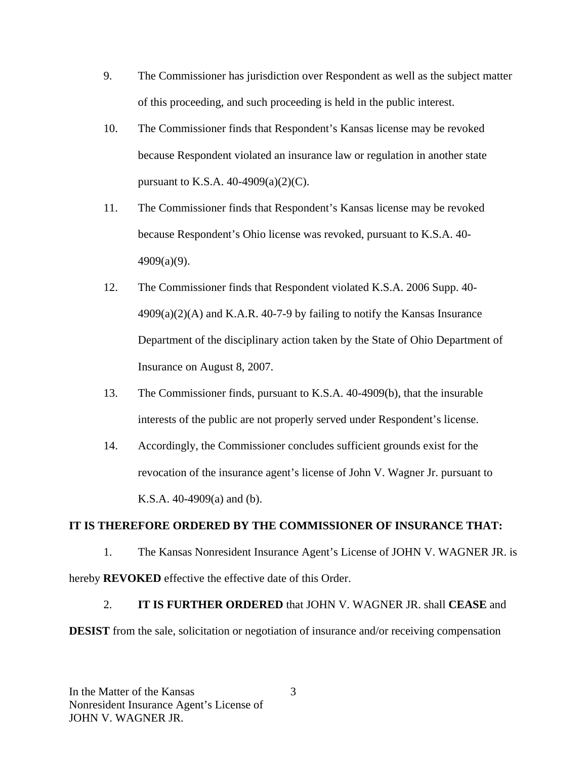- 9. The Commissioner has jurisdiction over Respondent as well as the subject matter of this proceeding, and such proceeding is held in the public interest.
- 10. The Commissioner finds that Respondent's Kansas license may be revoked because Respondent violated an insurance law or regulation in another state pursuant to K.S.A. 40-4909(a)(2)(C).
- 11. The Commissioner finds that Respondent's Kansas license may be revoked because Respondent's Ohio license was revoked, pursuant to K.S.A. 40- 4909(a)(9).
- 12. The Commissioner finds that Respondent violated K.S.A. 2006 Supp. 40-  $4909(a)(2)$ (A) and K.A.R. 40-7-9 by failing to notify the Kansas Insurance Department of the disciplinary action taken by the State of Ohio Department of Insurance on August 8, 2007.
- 13. The Commissioner finds, pursuant to K.S.A. 40-4909(b), that the insurable interests of the public are not properly served under Respondent's license.
- 14. Accordingly, the Commissioner concludes sufficient grounds exist for the revocation of the insurance agent's license of John V. Wagner Jr. pursuant to K.S.A. 40-4909(a) and (b).

### **IT IS THEREFORE ORDERED BY THE COMMISSIONER OF INSURANCE THAT:**

1. The Kansas Nonresident Insurance Agent's License of JOHN V. WAGNER JR. is hereby **REVOKED** effective the effective date of this Order.

2. **IT IS FURTHER ORDERED** that JOHN V. WAGNER JR. shall **CEASE** and **DESIST** from the sale, solicitation or negotiation of insurance and/or receiving compensation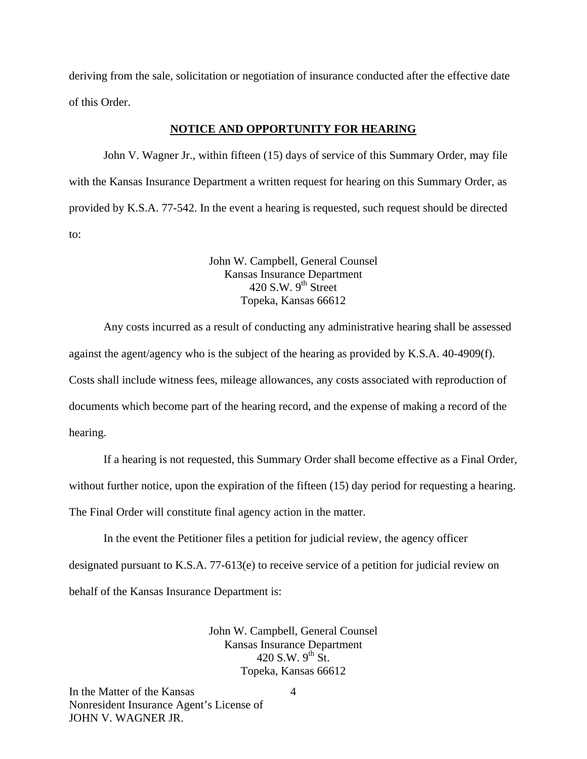deriving from the sale, solicitation or negotiation of insurance conducted after the effective date of this Order.

#### **NOTICE AND OPPORTUNITY FOR HEARING**

John V. Wagner Jr., within fifteen (15) days of service of this Summary Order, may file with the Kansas Insurance Department a written request for hearing on this Summary Order, as provided by K.S.A. 77-542. In the event a hearing is requested, such request should be directed to:

> John W. Campbell, General Counsel Kansas Insurance Department  $420$  S.W. 9<sup>th</sup> Street Topeka, Kansas 66612

Any costs incurred as a result of conducting any administrative hearing shall be assessed against the agent/agency who is the subject of the hearing as provided by K.S.A. 40-4909(f). Costs shall include witness fees, mileage allowances, any costs associated with reproduction of documents which become part of the hearing record, and the expense of making a record of the hearing.

If a hearing is not requested, this Summary Order shall become effective as a Final Order,

without further notice, upon the expiration of the fifteen (15) day period for requesting a hearing.

The Final Order will constitute final agency action in the matter.

In the event the Petitioner files a petition for judicial review, the agency officer designated pursuant to K.S.A. 77-613(e) to receive service of a petition for judicial review on behalf of the Kansas Insurance Department is:

> John W. Campbell, General Counsel Kansas Insurance Department 420 S.W. 9<sup>th</sup> St. Topeka, Kansas 66612

In the Matter of the Kansas Nonresident Insurance Agent's License of JOHN V. WAGNER JR.